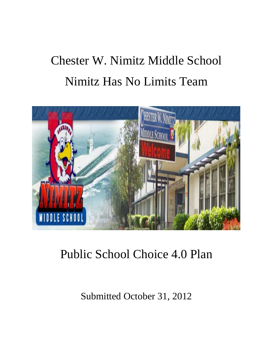# Chester W. Nimitz Middle School Nimitz Has No Limits Team



Public School Choice 4.0 Plan

Submitted October 31, 2012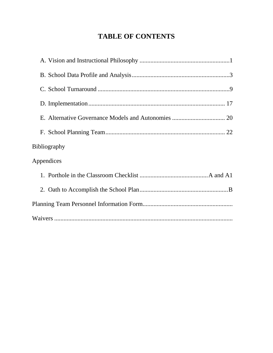# **TABLE OF CONTENTS**

| <b>Bibliography</b> |  |
|---------------------|--|
| Appendices          |  |
|                     |  |
|                     |  |
|                     |  |
|                     |  |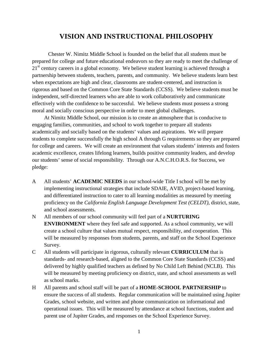# **VISION AND INSTRUCTIONAL PHILOSOPHY**

Chester W. Nimitz Middle School is founded on the belief that all students must be prepared for college and future educational endeavors so they are ready to meet the challenge of  $21<sup>st</sup>$  century careers in a global economy. We believe student learning is achieved through a partnership between students, teachers, parents, and community. We believe students learn best when expectations are high and clear, classrooms are student-centered, and instruction is rigorous and based on the Common Core State Standards (CCSS). We believe students must be independent, self-directed learners who are able to work collaboratively and communicate effectively with the confidence to be successful*.* We believe students must possess a strong moral and socially conscious perspective in order to meet global challenges.

At Nimitz Middle School, our mission is to create an atmosphere that is conducive to engaging families, communities, and school to work together to prepare all students academically and socially based on the students' values and aspirations. We will prepare students to complete successfully the high school A through G requirements so they are prepared for college and careers. We will create an environment that values students' interests and fosters academic excellence, creates lifelong learners, builds positive community leaders, and develop our students' sense of social responsibility*.* Through our A.N.C.H.O.R.S. for Success, we pledge:

- A All students' **ACADEMIC NEEDS** in our school-wide Title I school will be met by implementing instructional strategies that include SDAIE, AVID, project-based learning, and differentiated instruction to cater to all learning modalities as measured by meeting proficiency on the *California English Language Development Test (CELDT),* district, state, and school assessments.
- N All members of our school community will feel part of a **NURTURING ENVIRONMENT** where they feel safe and supported. As a school community, we will create a school culture that values mutual respect, responsibility, and cooperation. This will be measured by responses from students, parents, and staff on the School Experience Survey.
- C All students will participate in rigorous, culturally relevant **CURRICULUM** that is standards- and research-based, aligned to the Common Core State Standards (CCSS) and delivered by highly qualified teachers as defined by No Child Left Behind (NCLB). This will be measured by meeting proficiency on district, state, and school assessments as well as school marks.
- H All parents and school staff will be part of a **HOME-SCHOOL PARTNERSHIP** to ensure the success of all students. Regular communication will be maintained using Jupiter Grades, school website, and written and phone communication on informational and operational issues. This will be measured by attendance at school functions, student and parent use of Jupiter Grades, and responses on the School Experience Survey.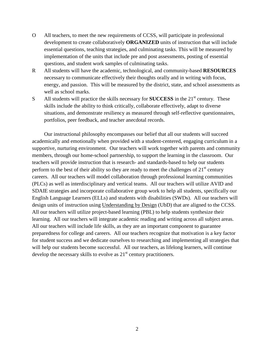- O All teachers, to meet the new requirements of CCSS, will participate in professional development to create collaboratively **ORGANIZED** units of instruction that will include essential questions, teaching strategies, and culminating tasks. This will be measured by implementation of the units that include pre and post assessments, posting of essential questions, and student work samples of culminating tasks.
- R All students will have the academic, technological, and community-based **RESOURCES** necessary to communicate effectively their thoughts orally and in writing with focus, energy, and passion. This will be measured by the district, state, and school assessments as well as school marks.
- S All students will practice the skills necessary for **SUCCESS** in the 21<sup>st</sup> century. These skills include the ability to think critically, collaborate effectively, adapt to diverse situations, and demonstrate resiliency as measured through self-reflective questionnaires, portfolios, peer feedback, and teacher anecdotal records.

Our instructional philosophy encompasses our belief that all our students will succeed academically and emotionally when provided with a student-centered, engaging curriculum in a supportive, nurturing environment. Our teachers will work together with parents and community members, through our home-school partnership, to support the learning in the classroom. Our teachers will provide instruction that is research- and standards-based to help our students perform to the best of their ability so they are ready to meet the challenges of  $21<sup>st</sup>$  century careers. All our teachers will model collaboration through professional learning communities (PLCs) as well as interdisciplinary and vertical teams. All our teachers will utilize AVID and SDAIE strategies and incorporate collaborative group work to help all students, specifically our English Language Learners (ELLs) and students with disabilities (SWDs). All our teachers will design units of instruction using Understanding by Design (UbD) that are aligned to the CCSS. All our teachers will utilize project-based learning (PBL) to help students synthesize their learning. All our teachers will integrate academic reading and writing across all subject areas. All our teachers will include life skills, as they are an important component to guarantee preparedness for college and careers. All our teachers recognize that motivation is a key factor for student success and we dedicate ourselves to researching and implementing all strategies that will help our students become successful. All our teachers, as lifelong learners, will continue develop the necessary skills to evolve as  $21<sup>st</sup>$  century practitioners.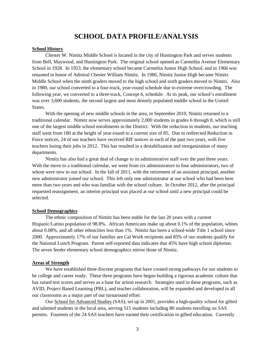# **SCHOOL DATA PROFILE/ANALYSIS**

### **School History**

Chester W. Nimitz Middle School is located in the city of Huntington Park and serves students from Bell, Maywood, and Huntington Park. The original school opened as Carmelita Avenue Elementary School in 1928. In 1953, the elementary school became Carmelita Junior High School, and in 1966 was renamed in honor of Admiral Chester William Nimitz. In 1980, Nimitz Junior High became Nimitz Middle School when the ninth graders moved to the high school and sixth graders moved to Nimitz. Also in 1980, our school converted to a four-track, year-round schedule due to extreme overcrowding. The following year, we converted to a three-track, Concept 6, schedule. At its peak, our school's enrollment was over 3,600 students, the second largest and most densely populated middle school in the United States.

With the opening of new middle schools in the area, in September 2010, Nimitz returned to a traditional calendar. Nimitz now serves approximately 2,000 students in grades 6 through 8, which is still one of the largest middle school enrollments in the District. With the reduction in students, our teaching staff went from 180 at the height of year-round to a current size of 85. Due to redirected Reduction in Force notices, 24 of our teachers have received RIF notices in each of the past two years, with five teachers losing their jobs in 2012. This has resulted in a destabilization and reorganization of many departments.

Nimitz has also had a great deal of change to its administrative staff over the past three years. With the move to a traditional calendar, we went from six administrators to four administrators, two of whom were new to our school. In the fall of 2011, with the retirement of an assistant principal, another new administrator joined our school. This left only one administrator at our school who had been here more than two years and who was familiar with the school culture. In October 2012, after the principal requested reassignment, an interim principal was placed at our school until a new principal could be selected.

### **School Demographics**

The ethnic composition of Nimitz has been stable for the last 20 years with a current Hispanic/Latino population of 98.8%. African Americans make up about 0.1% of the population, whites about 0.08%, and all other ethnicities less than 1%. Nimitz has been a school-wide Title 1 school since 2000. Approximately 17% of our families are Cal Work recipients and 85% of our students qualify for the National Lunch Program. Parent self-reported data indicates that 45% have high school diplomas. The seven feeder elementary school demographics mirror those of Nimitz.

#### **Areas of Strength**

We have established three discrete programs that have created strong pathways for our students to be college and career ready. These three programs have begun building a rigorous academic culture that has raised test scores and serves as a base for action research. Strategies used in these programs, such as AVID, Project Based Learning (PBL), and teacher collaboration, will be expanded and developed in all our classrooms as a major part of our turnaround effort.

Our School for Advanced Studies (SAS), set up in 2001, provides a high-quality school for gifted and talented students in the local area, serving 515 students including 80 students enrolling on SAS permits. Fourteen of the 24 SAS teachers have earned their certification in gifted education. Currently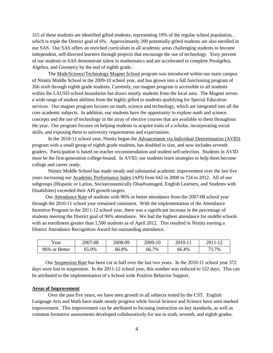315 of these students are identified gifted students, representing 19% of the regular school population, which is triple the District goal of 6%. Approximately 200 potentially gifted students are also enrolled in our SAS. Our SAS offers an enriched curriculum in all academic areas challenging students to become independent, self-directed learners through projects that encourage the use of technology. Sixty percent of our students in SAS demonstrate talent in mathematics and are accelerated to complete Prealgebra, Algebra, and Geometry by the end of eighth grade.

The Math/Science/Technology Magnet School program was introduced within our main campus of Nimitz Middle School in the 2009-10 school year, and has grown into a full functioning program of 266 sixth through eighth grade students. Currently, our magnet program is accessible to all students within the LAUSD school boundaries but draws mostly students from the local area. The Magnet serves a wide range of student abilities from the highly gifted to students qualifying for Special Education services. Our magnet program focuses on math, science and technology, which are integrated into all the core academic subjects. In addition, our students have the opportunity to explore math and science concepts and the use of technology in the array of elective courses that are available to them throughout the year. Our program focuses on helping students to acquire traits of a scholar, incorporating social skills, and exposing them to university requirements and expectations.

In the 2010-11 school year, Nimitz began the Advancement via Individual Determination (AVID) program with a small group of eighth grade students, has doubled in size, and now includes seventh graders. Participation is based on teacher recommendation and student self-selection. Students in AVID must be the first-generation college-bound. In AVID, our students learn strategies to help them become college and career ready.

Nimitz Middle School has made steady and substantial academic improvement over the last five years increasing our Academic Performance Index (API) from 642 in 2008 to 724 in 2012. All of our subgroups (Hispanic or Latino, Socioeconomically Disadvantaged, English Learners, and Students with Disabilities) exceeded their API growth targets.

Our Attendance Rate of students with 96% or better attendance from the 2007-08 school year through the 2010-11 school year remained consistent. With the implementation of the Attendance Incentive Program in the 2011-12 school year, there was a significant increase in the percentage of students meeting the District goal of 96% attendance. We had the highest attendance for middle schools with an enrollment greater than 1,500 students as of April 2012. This resulted in Nimitz earning a District Attendance Recognition Award for outstanding attendance.

| rear          | 2007-08 | 2008-09 | 2009-10    | 2010-11 | 2011-12 |
|---------------|---------|---------|------------|---------|---------|
| 96% or Better | 65.0%   | 66.8%   | 7%<br>66.7 | 66.4%   | 73.7%   |

Our Suspension Rate has been cut in half over the last two years. In the 2010-11 school year 372 days were lost to suspension. In the 2011-12 school year, this number was reduced to 122 days. This can be attributed to the implementation of a School wide Positive Behavior Support.

### **Areas of Improvement**

Over the past five years, we have seen growth in all subjects tested by the CST. English Language Arts and Math have made steady progress while Social Science and Science have seen marked improvement. This improvement can be attributed to focusing instruction on key standards, as well as common formative assessments developed collaboratively for use in sixth, seventh, and eighth grades.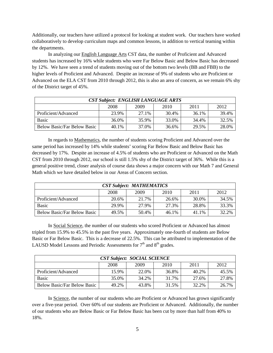Additionally, our teachers have utilized a protocol for looking at student work. Our teachers have worked collaboratively to develop curriculum maps and common lessons, in addition to vertical teaming within the departments.

In analyzing our English Language Arts CST data, the number of Proficient and Advanced students has increased by 16% while students who were Far Below Basic and Below Basic has decreased by 12%. We have seen a trend of students moving out of the bottom two levels (BB and FBB) to the higher levels of Proficient and Advanced. Despite an increase of 9% of students who are Proficient or Advanced on the ELA CST from 2010 through 2012, this is also an area of concern, as we remain 6% shy of the District target of 45%.

| <b>CST Subject: ENGLISH LANGUAGE ARTS</b> |       |       |       |       |       |  |  |
|-------------------------------------------|-------|-------|-------|-------|-------|--|--|
|                                           | 2008  | 2009  | 2010  | 2011  | 2012  |  |  |
| Proficient/Advanced                       | 23.9% | 27.1% | 30.4% | 36.1% | 39.4% |  |  |
| <b>Basic</b>                              | 36.0% | 35.9% | 33.0% | 34.4% | 32.5% |  |  |
| <b>Below Basic/Far Below Basic</b>        | 40.1% | 37.0% | 36.6% | 29.5% | 28.0% |  |  |

In regards to Mathematics, the number of students scoring Proficient and Advanced over the same period has increased by 14% while students' scoring Far Below Basic and Below Basic has decreased by 17%. Despite an increase of 4.5% of students who are Proficient or Advanced on the Math CST from 2010 through 2012, our school is still 1.5% shy of the District target of 36%. While this is a general positive trend, closer analysis of course data shows a major concern with our Math 7 and General Math which we have detailed below in our Areas of Concern section.

| <b>CST Subject: MATHEMATICS</b>    |       |       |       |       |       |  |
|------------------------------------|-------|-------|-------|-------|-------|--|
|                                    | 2008  | 2009  | 2010  | 2011  | 2012  |  |
| Proficient/Advanced                | 20.6% | 21.7% | 26.6% | 30.0% | 34.5% |  |
| <b>Basic</b>                       | 29.9% | 27.9% | 27.3% | 28.8% | 33.3% |  |
| <b>Below Basic/Far Below Basic</b> | 49.5% | 50.4% | 46.1% | 41.1% | 32.2% |  |

In Social Science, the number of our students who scored Proficient or Advanced has almost tripled from 15.9% to 45.5% in the past five years. Approximately one-fourth of students are Below Basic or Far Below Basic. This is a decrease of 22.5%. This can be attributed to implementation of the LAUSD Model Lessons and Periodic Assessments for  $7<sup>th</sup>$  and  $8<sup>th</sup>$  grades.

| <b>CST Subject: SOCIAL SCIENCE</b> |       |       |       |       |       |  |  |
|------------------------------------|-------|-------|-------|-------|-------|--|--|
|                                    | 2008  | 2009  | 2010  | 2011  | 2012  |  |  |
| Proficient/Advanced                | 15.9% | 22.0% | 36.8% | 40.2% | 45.5% |  |  |
| <b>Basic</b>                       | 35.0% | 34.2% | 31.7% | 27.6% | 27.8% |  |  |
| <b>Below Basic/Far Below Basic</b> | 49.2% | 43.8% | 31.5% | 32.2% | 26.7% |  |  |

In Science, the number of our students who are Proficient or Advanced has grown significantly over a five-year period. Over 60% of our students are Proficient or Advanced. Additionally, the number of our students who are Below Basic or Far Below Basic has been cut by more than half from 40% to 18%.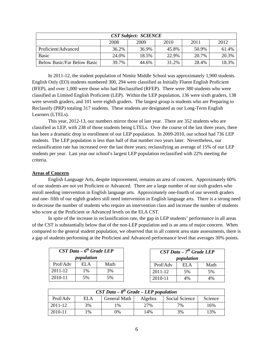| <b>CST Subject: SCIENCE</b>        |       |       |       |       |       |  |  |
|------------------------------------|-------|-------|-------|-------|-------|--|--|
|                                    | 2008  | 2009  | 2010  | 2011  | 2012  |  |  |
| Proficient/Advanced                | 36.2% | 36.9% | 45.8% | 50.9% | 61.4% |  |  |
| <b>Basic</b>                       | 24.0% | 18.5% | 22.9% | 20.7% | 20.3% |  |  |
| <b>Below Basic/Far Below Basic</b> | 39.7% | 44.6% | 31.2% | 28.4% | 18.3% |  |  |

In 2011-12, the student population of Nimitz Middle School was approximately 1,900 students. English Only (EO) students numbered 300, 294 were classified as Initially Fluent English Proficient (IFEP), and over 1,000 were those who had Reclassified (RFEP). There were 380 students who were classified as Limited English Proficient (LEP). Within the LEP population, 136 were sixth graders, 138 were seventh graders, and 101 were eighth graders. The largest group is students who are Preparing to Reclassify (PRP) totaling 317 students. These students are designated as our Long-Term English Learners (LTELs).

This year, 2012-13, our numbers mirror those of last year. There are 352 students who are classified as LEP, with 238 of those students being LTELs. Over the course of the last three years, there has been a dramatic drop in enrollment of our LEP population. In 2009-2010, our school had 736 LEP students. The LEP population is less than half of that number two years later. Nevertheless, our reclassification rate has increased over the last three years; reclassifying an average of 15% of our LEP students per year. Last year our school's largest LEP population reclassified with 22% meeting the criteria.

# **Areas of Concern**

English Language Arts, despite improvement, remains an area of concern. Approximately 60% of our students are not yet Proficient or Advanced. There are a large number of our sixth graders who enroll needing intervention in English language arts. Approximately one-fourth of our seventh graders and one- fifth of our eighth graders still need intervention in English language arts. There is a strong need to decrease the number of students who require an intervention class and increase the number of students who score at the Proficient or Advanced levels on the ELA CST.

In spite of the increase in reclassification rate, the gap in LEP students' performance in all areas of the CST is substantially below that of the non-LEP population and is an area of major concern. When compared to the general student population, we observed that in all content area state assessments, there is a gap of students performing at the Proficient and Advanced performance level that averages 30% points.

| $CST Data - 6th Grade LEP$ |            |      |
|----------------------------|------------|------|
|                            | population |      |
| Prof/Adv                   | EL A       | Math |
| 2011-12                    | 1%         | 3%   |
| 2010-11                    | 5%         | 5%   |

| $CST Data - 8th Grade - LEP population$ |       |              |         |                |         |  |  |
|-----------------------------------------|-------|--------------|---------|----------------|---------|--|--|
| Prof/Adv                                | ELA   | General Math | Algebra | Social Science | Science |  |  |
| 2011-12                                 | 3%    | l %          | 27%     | 7%             | 16%     |  |  |
| 2010-11                                 | $1\%$ | 0%           | 14%     | 3%             | 13%     |  |  |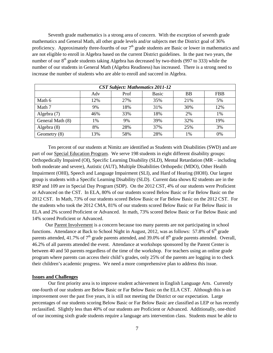Seventh grade mathematics is a strong area of concern. With the exception of seventh grade mathematics and General Math, all other grade levels and/or subjects met the District goal of 36% proficiency. Approximately three-fourths of our  $7<sup>th</sup>$  grade students are Basic or lower in mathematics and are not eligible to enroll in Algebra based on the current District guidelines. In the past two years, the number of our  $8<sup>th</sup>$  grade students taking Algebra has decreased by two-thirds (997 to 333) while the number of our students in General Math (Algebra Readiness) has increased. There is a strong need to increase the number of students who are able to enroll and succeed in Algebra.

| <b>CST Subject: Mathematics 2011-12</b> |     |      |       |           |            |  |
|-----------------------------------------|-----|------|-------|-----------|------------|--|
|                                         | Adv | Prof | Basic | <b>BB</b> | <b>FBB</b> |  |
| Math 6                                  | 12% | 27%  | 35%   | 21%       | 5%         |  |
| Math 7                                  | 9%  | 18%  | 31%   | 30%       | 12%        |  |
| Algebra (7)                             | 46% | 33%  | 18%   | 2%        | 1%         |  |
| General Math (8)                        | 1%  | 9%   | 39%   | 32%       | 19%        |  |
| Algebra (8)                             | 8%  | 28%  | 37%   | 25%       | 3%         |  |
| Geometry $(8)$                          | 13% | 58%  | 28%   | 1%        | 0%         |  |

Ten percent of our students at Nimitz are identified as Students with Disabilities (SWD) and are part of our Special Education Program. We serve 198 students in eight different disability groups: Orthopedically Impaired (OI), Specific Learning Disability (SLD), Mental Retardation (MR – including both moderate and severe), Autistic (AUT), Multiple Disabilities Orthopedic (MDO), Other Health Impairment (OHI), Speech and Language Impairment (SLI), and Hard of Hearing (HOH). Our largest group is students with a Specific Learning Disability (SLD). Current data shows 82 students are in the RSP and 109 are in Special Day Program (SDP). On the 2012 CST, 4% of our students were Proficient or Advanced on the CST. In ELA, 80% of our students scored Below Basic or Far Below Basic on the 2012 CST. In Math, 73% of our students scored Below Basic or Far Below Basic on the 2012 CST. For the students who took the 2012 CMA, 81% of our students scored Below Basic or Far Below Basic in ELA and 2% scored Proficient or Advanced. In math, 73% scored Below Basic or Far Below Basic and 14% scored Proficient or Advanced.

Our Parent Involvement is a concern because too many parents are not participating in school functions. Attendance at Back to School Night in August, 2012, was as follows: 57.8% of  $6<sup>th</sup>$  grade parents attended, 41.7% of  $7<sup>th</sup>$  grade parents attended, and 39.0% of  $8<sup>th</sup>$  grade parents attended. Overall, 46.2% of all parents attended the event. Attendance at workshops sponsored by the Parent Center is between 40 and 50 parents regardless of the time of the workshop. For teachers using an online grade program where parents can access their child's grades, only 25% of the parents are logging in to check their children's academic progress. We need a more comprehensive plan to address this issue.

# **Issues and Challenges**

Our first priority area is to improve student achievement in English Language Arts. Currently one-fourth of our students are Below Basic or Far Below Basic on the ELA CST. Although this is an improvement over the past five years, it is still not meeting the District or our expectation. Large percentages of our students scoring Below Basic or Far Below Basic are classified as LEP or has recently reclassified. Slightly less than 40% of our students are Proficient or Advanced. Additionally, one-third of our incoming sixth grade students require a language arts intervention class. Students must be able to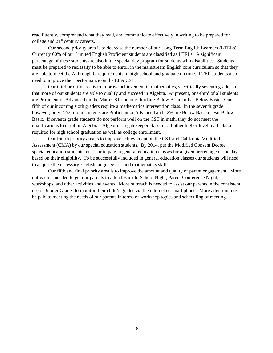read fluently, comprehend what they read, and communicate effectively in writing to be prepared for college and  $21<sup>st</sup>$  century careers.

Our second priority area is to decrease the number of our Long Term English Learners (LTELs). Currently 60% of our Limited English Proficient students are classified as LTELs. A significant percentage of these students are also in the special day program for students with disabilities. Students must be prepared to reclassify to be able to enroll in the mainstream English core curriculum so that they are able to meet the A through G requirements in high school and graduate on time. LTEL students also need to improve their performance on the ELA CST.

Our third priority area is to improve achievement in mathematics, specifically seventh grade, so that more of our students are able to qualify and succeed in Algebra. At present, one-third of all students are Proficient or Advanced on the Math CST and one-third are Below Basic or Far Below Basic. Onefifth of our incoming sixth graders require a mathematics intervention class. In the seventh grade, however, only 27% of our students are Proficient or Advanced and 42% are Below Basic or Far Below Basic. If seventh grade students do not perform well on the CST in math, they do not meet the qualifications to enroll in Algebra. Algebra is a gatekeeper class for all other higher-level math classes required for high school graduation as well as college enrollment.

Our fourth priority area is to improve achievement on the CST and California Modified Assessment (CMA) by our special education students. By 2014, per the Modified Consent Decree, special education students must participate in general education classes for a given percentage of the day based on their eligibility. To be successfully included in general education classes our students will need to acquire the necessary English language arts and mathematics skills.

Our fifth and final priority area is to improve the amount and quality of parent engagement. More outreach is needed to get our parents to attend Back to School Night, Parent Conference Night, workshops, and other activities and events. More outreach is needed to assist our parents in the consistent use of Jupiter Grades to monitor their child's grades via the internet or smart phone. More attention must be paid to meeting the needs of our parents in terms of workshop topics and scheduling of meetings.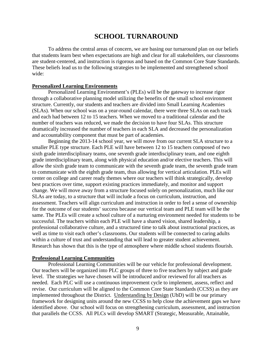# **SCHOOL TURNAROUND**

To address the central areas of concern, we are basing our turnaround plan on our beliefs that students learn best when expectations are high and clear for all stakeholders, our classrooms are student-centered, and instruction is rigorous and based on the Common Core State Standards. These beliefs lead us to the following strategies to be implemented and strengthened school wide:

# **Personalized Learning Environments**

Personalized Learning Environment's (PLEs) will be the gateway to increase rigor through a collaborative planning model utilizing the benefits of the small school environment structure. Currently, our students and teachers are divided into Small Learning Academies (SLAs). When our school was on a year-round calendar, there were three SLAs on each track and each had between 12 to 15 teachers. When we moved to a traditional calendar and the number of teachers was reduced, we made the decision to have four SLAs. This structure dramatically increased the number of teachers in each SLA and decreased the personalization and accountability component that must be part of academies.

Beginning the 2013-14 school year, we will move from our current SLA structure to a smaller PLE type structure. Each PLE will have between 12 to 15 teachers composed of two sixth grade interdisciplinary teams, one seventh grade interdisciplinary team, and one eighth grade interdisciplinary team, along with physical education and/or elective teachers. This will allow the sixth grade team to communicate with the seventh grade team, the seventh grade team to communicate with the eighth grade team, thus allowing for vertical articulation. PLEs will center on college and career ready themes where our teachers will think strategically, develop best practices over time, support existing practices immediately, and monitor and support change. We will move away from a structure focused solely on personalization, much like our SLAs are today, to a structure that will include a focus on curriculum, instruction, and assessment. Teachers will align curriculum and instruction in order to feel a sense of ownership for the outcome of our students' success because our vertical team and PLE team will be the same. The PLEs will create a school culture of a nurturing environment needed for students to be successful. The teachers within each PLE will have a shared vision, shared leadership, a professional collaborative culture, and a structured time to talk about instructional practices, as well as time to visit each other's classrooms. Our students will be connected to caring adults within a culture of trust and understanding that will lead to greater student achievement. Research has shown that this is the type of atmosphere where middle school students flourish.

# **Professional Learning Communities**

Professional Learning Communities will be our vehicle for professional development. Our teachers will be organized into PLC groups of three to five teachers by subject and grade level. The strategies we have chosen will be introduced and/or reviewed for all teachers as needed. Each PLC will use a continuous improvement cycle to implement, assess, reflect and revise. Our curriculum will be aligned to the Common Core State Standards (CCSS) as they are implemented throughout the District. Understanding by Design (UbD) will be our primary framework for designing units around the new CCSS to help close the achievement gaps we have identified above. Our school will focus on strengthening curriculum, assessment, and instruction that parallels the CCSS. All PLCs will develop SMART (Strategic, Measurable, Attainable,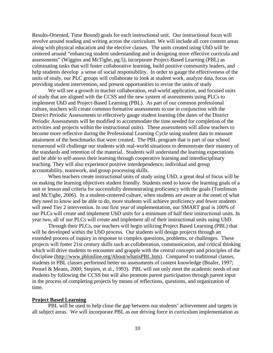Results-Oriented, Time Bound) goals for each instructional unit. Our instructional focus will revolve around reading and writing across the curriculum. We will include all core content areas along with physical education and the elective classes. The units created using UbD will be centered around "enhancing student understanding and in designing more effective curricula and assessments" (Wiggins and McTighe, pg.5), incorporate Project-Based Learning (PBL) as culminating tasks that will foster collaborative learning, build positive community leaders, and help students develop a sense of social responsibility. In order to gauge the effectiveness of the units of study, our PLC groups will collaborate to look at student work, analyze data, focus on providing student intervention, and present opportunities to revise the units of study

We will see a growth in teacher collaboration, real-world application, and focused units of study that are aligned with the CCSS and the new system of assessments using PLCs to implement UbD and Project-Based Learning (PBL). As part of our common professional culture, teachers will create common formative assessments to use in conjunction with the District Periodic Assessments to effectively gauge student learning (the dates of the District Periodic Assessments will be modified to accommodate the time needed for completion of the activities and projects within the instructional units). These assessments will allow teachers to become more reflective during the Professional Learning Cycle using student data to measure attainment of the benchmarks that were created. The PBL program that is part of our school turnaround will challenge our students with real-world situations to demonstrate their mastery of the standards and retention of the material. Students will understand the learning expectations and be able to self-assess their learning through cooperative learning and interdisciplinary teaching. They will also experience positive interdependence, individual and group accountability, teamwork, and group processing skills.

When teachers create instructional units of study using UbD, a great deal of focus will be on making the learning objectives student friendly. Students need to know the learning goals of a unit or lesson and criteria for successfully demonstrating proficiency with the goals (Tomlinson and McTighe, 2006). In a student-centered culture, when students are aware at the onset of what they need to know and be able to do, more students will achieve proficiency and fewer students will need Tier 2 intervention. In our first year of implementation, our SMART goal is 100% of our PLCs will create and implement UbD units for a minimum of half their instructional units. In year two, all of our PLCs will create and implement all of their instructional units using UbD.

Through their PLCs, our teachers will begin utilizing Project Based Learning (PBL) that will be developed within the UbD process. Our students will design projects through an extended process of inquiry in response to complex questions, problems, or challenges. These projects will foster 21st century skills such as collaboration, communication, and critical thinking which will drive students to encounter and grapple with the central concepts and principles of the discipline [\(http://www.pblonline.org/About/whatisPBL.htm\)](http://www.pblonline.org/About/whatisPBL.htm). Compared to traditional classes, students in PBL classes performed better on assessments of content knowledge (Boaler, 1997; Penuel & Means, 2000; Stepien, et al., 1993). PBL will not only meet the academic needs of our students by following the CCSS but will also promote parent participation through parent input in the process of completing projects by means of reflections, questions, and organization of time.

# **Project Based Learning**

PBL will be used to help close the gap between our students' achievement and targets in all subject areas. We will incorporate PBL as our driving force in curriculum implementation as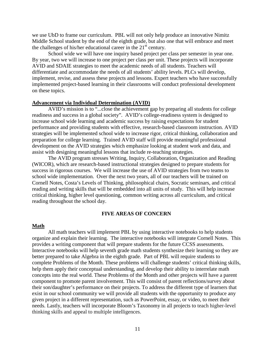we use UbD to frame our curriculum. PBL will not only help produce an innovative Nimitz Middle School student by the end of the eighth grade, but also one that will embrace and meet the challenges of his/her educational career in the  $21<sup>st</sup>$  century.

School wide we will have one inquiry based project per class per semester in year one. By year, two we will increase to one project per class per unit. These projects will incorporate AVID and SDAIE strategies to meet the academic needs of all students. Teachers will differentiate and accommodate the needs of all students' ability levels. PLCs will develop, implement, revise, and assess these projects and lessons. Expert teachers who have successfully implemented project-based learning in their classrooms will conduct professional development on these topics.

# **Advancement via Individual Determination (AVID)**

AVID's mission is to "...close the achievement gap by preparing all students for college readiness and success in a global society". AVID's college-readiness system is designed to increase school wide learning and academic success by raising expectations for student performance and providing students with effective, research-based classroom instruction. AVID strategies will be implemented school wide to increase rigor, critical thinking, collaboration and preparation for college learning. Trained AVID staff will provide meaningful professional development on the AVID strategies which emphasize looking at student work and data, and assist with designing meaningful lessons that include re-teaching strategies.

The AVID program stresses Writing, Inquiry, Collaboration, Organization and Reading (WICOR), which are research-based instructional strategies designed to prepare students for success in rigorous courses. We will increase the use of AVID strategies from two teams to school wide implementation. Over the next two years, all of our teachers will be trained on Cornell Notes, Costa's Levels of Thinking, philosophical chairs, Socratic seminars, and critical reading and writing skills that will be embedded into all units of study. This will help increase critical thinking, higher level questioning, common writing across all curriculum, and critical reading throughout the school day.

# **FIVE AREAS OF CONCERN**

#### **Math**

All math teachers will implement PBL by using interactive notebooks to help students organize and explain their learning. The interactive notebooks will integrate Cornell Notes. This provides a writing component that will prepare students for the future CCSS assessments. Interactive notebooks will help seventh grade math students synthesize their learning so they are better prepared to take Algebra in the eighth grade. Part of PBL will require students to complete Problems of the Month. These problems will challenge students' critical thinking skills, help them apply their conceptual understanding, and develop their ability to interrelate math concepts into the real world. These Problems of the Month and other projects will have a parent component to promote parent involvement. This will consist of parent reflections/survey about their son/daughter's performance on their projects. To address the different type of learners that exist in our school community we will provide all students with the opportunity to produce any given project in a different representation, such as PowerPoint, essay, or video, to meet their needs. Lastly, teachers will incorporate Bloom's Taxonomy in all projects to teach higher-level thinking skills and appeal to multiple intelligences.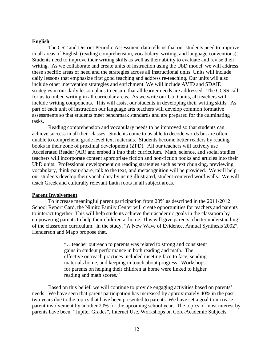# **English**

The CST and District Periodic Assessment data tells us that our students need to improve in all areas of English (reading comprehension, vocabulary, writing, and language conventions). Students need to improve their writing skills as well as their ability to evaluate and revise their writing. As we collaborate and create units of instruction using the UbD model, we will address these specific areas of need and the strategies across all instructional units. Units will include daily lessons that emphasize first good teaching and address re-teaching. Our units will also include other intervention strategies and enrichment. We will include AVID and SDAIE strategies in our daily lesson plans to ensure that all learner needs are addressed. The CCSS call for us to imbed writing in all curricular areas. As we write our UbD units, all teachers will include writing components. This will assist our students in developing their writing skills. As part of each unit of instruction our language arts teachers will develop common formative assessments so that students meet benchmark standards and are prepared for the culminating tasks.

Reading comprehension and vocabulary needs to be improved so that students can achieve success in all their classes. Students come to us able to decode words but are often unable to comprehend grade level text materials. Students become better readers by reading books in their zone of proximal development (ZPD). All our teachers will actively use Accelerated Reader (AR) and embed it into their curriculum. Math, science, and social studies teachers will incorporate content appropriate fiction and non-fiction books and articles into their UbD units. Professional development on reading strategies such as text chunking, previewing vocabulary, think-pair-share, talk to the text, and metacognition will be provided. We will help our students develop their vocabulary by using illustrated, student-centered word walls. We will teach Greek and culturally relevant Latin roots in all subject areas.

### **Parent Involvement**

To increase meaningful parent participation from 20% as described in the 2011-2012 School Report Card, the Nimitz Family Center will create opportunities for teachers and parents to interact together. This will help students achieve their academic goals in the classroom by empowering parents to help their children at home. This will give parents a better understanding of the classroom curriculum. In the study, "A New Wave of Evidence, Annual Synthesis 2002", Henderson and Mapp propose that,

> "…teacher outreach to parents was related to strong and consistent gains in student performance in both reading and math. The effective outreach practices included meeting face to face, sending materials home, and keeping in touch about progress. Workshops for parents on helping their children at home were linked to higher reading and math scores."

Based on this belief, we will continue to provide engaging activities based on parents' needs. We have seen that parent participation has increased by approximately 40% in the past two years due to the topics that have been presented to parents. We have set a goal to increase parent involvement by another 20% for the upcoming school year. The topics of most interest by parents have been: "Jupiter Grades", Internet Use, Workshops on Core-Academic Subjects,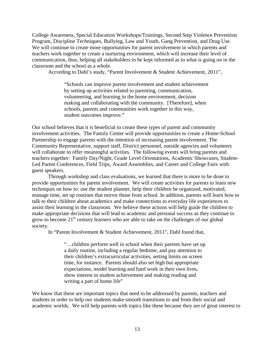College Awareness, Special Education Workshops/Trainings, Second Step Violence Prevention Program, Discipline Techniques, Bullying, Law and Youth, Gang Prevention, and Drug Use. We will continue to create more opportunities for parent involvement in which parents and teachers work together to create a nurturing environment, which will increase their level of communication, thus, helping all stakeholders to be kept informed as to what is going on in the classroom and the school as a whole.

According to Dahl's study, "Parent Involvement & Student Achievement, 2011",

"Schools can improve parent involvement and student achievement by setting up activities related to parenting, communication, volunteering, and learning in the home environment, decision making and collaborating with the community. [Therefore], when schools, parents and communities work together in this way, student outcomes improve."

Our school believes that it is beneficial to create these types of parent and community involvement activities. The Family Center will provide opportunities to create a Home-School Partnership to engage parents with the intention of increasing parent involvement. The Community Representative, support staff, District personnel, outside agencies and volunteers will collaborate to offer meaningful activities. The following events will bring parents and teachers together: Family Day/Night, Grade Level Orientations, Academic Showcases, Student-Led Parent Conferences, Field Trips, Award Assemblies, and Career and College Fairs with guest speakers.

Through workshop and class evaluations, we learned that there is more to be done to provide opportunities for parent involvement. We will create activities for parents to learn new techniques on how to: use the student planner, help their children be organized, motivated, manage time, set up routines that mirror those from school. In addition, parents will learn how to talk to their children about academics and make connections to everyday life experiences to assist their learning in the classroom. We believe these actions will help guide the children to make appropriate decisions that will lead to academic and personal success as they continue to grow to become  $21<sup>st</sup>$  century learners who are able to take on the challenges of our global society.

In "Parent Involvement & Student Achievement, 2011", Dahl found that,

"…children perform well in school when their parents have set up a daily routine, including a regular bedtime, and pay attention to their children's extracurricular activities, setting limits on screen time, for instance. Parents should also set high but appropriate expectations, model learning and hard work in their own lives, show interest in student achievement and making reading and writing a part of home life"

We know that these are important topics that need to be addressed by parents, teachers and students in order to help our students make smooth transitions to and from their social and academic worlds. We will help parents with topics like these because they are of great interest to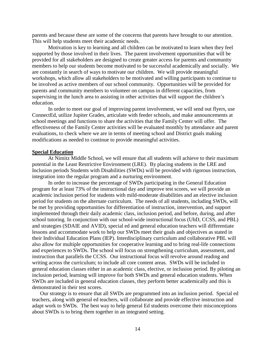parents and because these are some of the concerns that parents have brought to our attention. This will help students meet their academic needs.

Motivation is key to learning and all children can be motivated to learn when they feel supported by those involved in their lives. The parent involvement opportunities that will be provided for all stakeholders are designed to create greater access for parents and community members to help our students become motivated to be successful academically and socially. We are constantly in search of ways to motivate our children. We will provide meaningful workshops, which allow all stakeholders to be motivated and willing participants to continue to be involved as active members of our school community. Opportunities will be provided for parents and community members to volunteer on campus in different capacities, from supervising in the lunch area to assisting in other activities that will support the children's education.

In order to meet our goal of improving parent involvement, we will send out flyers, use ConnectEd, utilize Jupiter Grades, articulate with feeder schools, and make announcements at school meetings and functions to share the activities that the Family Center will offer. The effectiveness of the Family Center activities will be evaluated monthly by attendance and parent evaluations, to check where we are in terms of meeting school and District goals making modifications as needed to continue to provide meaningful activities.

# **Special Education**

At Nimitz Middle School, we will ensure that all students will achieve to their maximum potential in the Least Restrictive Environment (LRE). By placing students in the LRE and Inclusion periods Students with Disabilities (SWDs) will be provided with rigorous instruction, integration into the regular program and a nurturing environment.

In order to increase the percentage of SWDs participating in the General Education program for at least 73% of the instructional day and improve test scores, we will provide an academic inclusion period for students with mild-moderate disabilities and an elective inclusion period for students on the alternate curriculum. The needs of all students, including SWDs, will be met by providing opportunities for differentiation of instruction, intervention, and support implemented through their daily academic class, inclusion period, and before, during, and after school tutoring. In conjunction with our school-wide instructional focus (UbD, CCSS, and PBL) and strategies (SDAIE and AVID), special ed and general education teachers will differentiate lessons and accommodate work to help our SWDs meet their goals and objectives as stated in their Individual Education Plans (IEP). Interdisciplinary curriculum and collaborative PBL will also allow for multiple opportunities for cooperative learning and to bring real-life connections and experiences to SWDs. The school will focus on strengthening curriculum, assessment, and instruction that parallels the CCSS. Our instructional focus will revolve around reading and writing across the curriculum; to include all core content areas. SWDs will be included in general education classes either in an academic class, elective, or inclusion period. By piloting an inclusion period, learning will improve for both SWDs and general education students. When SWDs are included in general education classes, they perform better academically and this is demonstrated in their test scores.

Our strategy is to ensure that all SWDs are programmed into an inclusion period. Special ed teachers, along with general ed teachers, will collaborate and provide effective instruction and adapt work to SWDs. The best way to help general Ed students overcome their misconceptions about SWDs is to bring them together in an integrated setting.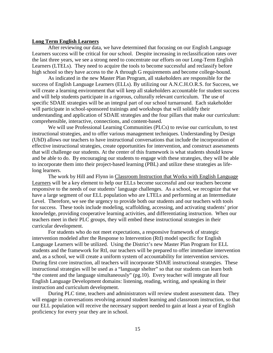# **Long Term English Learners**

After reviewing our data, we have determined that focusing on our English Language Learners success will be critical for our school. Despite increasing in reclassification rates over the last three years, we see a strong need to concentrate our efforts on our Long-Term English Learners (LTELs). They need to acquire the tools to become successful and reclassify before high school so they have access to the A through G requirements and become college-bound.

As indicated in the new Master Plan Program, all stakeholders are responsible for the success of English Language Learners (ELLs). By utilizing our A.N.C.H.O.R.S. for Success, we will create a learning environment that will keep all stakeholders accountable for student success and will help students participate in a rigorous, culturally relevant curriculum. The use of specific SDAIE strategies will be an integral part of our school turnaround. Each stakeholder will participate in school-sponsored trainings and workshops that will solidify their understanding and application of SDAIE strategies and the four pillars that make our curriculum: comprehensible, interactive, connections, and content-based.

We will use Professional Learning Communities (PLCs) to revise our curriculum, to test instructional strategies, and to offer various management techniques. Understanding by Design (UbD) allows our teachers to have instructional conversations that include the incorporation of effective instructional strategies, create opportunities for intervention, and construct assessments that will challenge our students. At the center of this framework is what students should know and be able to do. By encouraging our students to engage with these strategies, they will be able to incorporate them into their project-based learning (PBL) and utilize these strategies as lifelong learners.

The work by Hill and Flynn in Classroom Instruction that Works with English Language Learners will be a key element to help our ELLs become successful and our teachers become responsive to the needs of our students' language challenges. As a school, we recognize that we have a large segment of our ELL population who are LTELs and performing at an Intermediate Level. Therefore, we see the urgency to provide both our students and our teachers with tools for success. These tools include modeling, scaffolding, accessing, and activating students' prior knowledge, providing cooperative learning activities, and differentiating instruction. When our teachers meet in their PLC groups, they will embed these instructional strategies in their curricular development.

For students who do not meet expectations, a responsive framework of strategic intervention modeled after the Response to Intervention (RtI) model specific for English Language Learners will be utilized. Using the District's new Master Plan Program for ELL students and the framework for RtI, our teachers will be prepared to offer immediate intervention and, as a school, we will create a uniform system of accountability for intervention services. During first core instruction, all teachers will incorporate SDAIE instructional strategies. These instructional strategies will be used as a "language shelter" so that our students can learn both "the content and the language simultaneously" (pg.10). Every teacher will integrate all four English Language Development domains: listening, reading, writing, and speaking in their instruction and curriculum development.

During PLC time, teachers and administrators will review student assessment data. They will engage in conversations revolving around student learning and classroom instruction, so that our ELL population will receive the necessary support needed to gain at least a year of English proficiency for every year they are in school.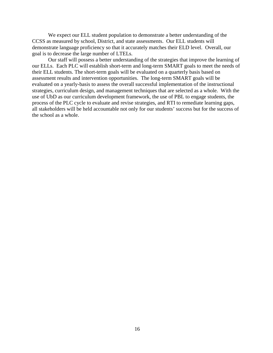We expect our ELL student population to demonstrate a better understanding of the CCSS as measured by school, District, and state assessments. Our ELL students will demonstrate language proficiency so that it accurately matches their ELD level. Overall, our goal is to decrease the large number of LTELs.

Our staff will possess a better understanding of the strategies that improve the learning of our ELLs. Each PLC will establish short-term and long-term SMART goals to meet the needs of their ELL students. The short-term goals will be evaluated on a quarterly basis based on assessment results and intervention opportunities. The long-term SMART goals will be evaluated on a yearly-basis to assess the overall successful implementation of the instructional strategies, curriculum design, and management techniques that are selected as a whole. With the use of UbD as our curriculum development framework, the use of PBL to engage students, the process of the PLC cycle to evaluate and revise strategies, and RTI to remediate learning gaps, all stakeholders will be held accountable not only for our students' success but for the success of the school as a whole.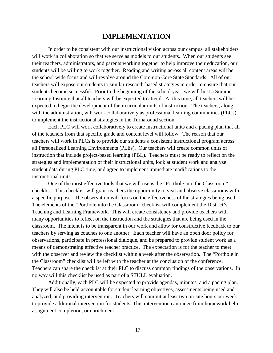# **IMPLEMENTATION**

In order to be consistent with our instructional vision across our campus, all stakeholders will work in collaboration so that we serve as models to our students. When our students see their teachers, administrators, and parents working together to help improve their education, our students will be willing to work together. Reading and writing across all content areas will be the school wide focus and will revolve around the Common Core State Standards. All of our teachers will expose our students to similar research-based strategies in order to ensure that our students become successful. Prior to the beginning of the school year, we will host a Summer Learning Institute that all teachers will be expected to attend. At this time, all teachers will be expected to begin the development of their curricular units of instruction. The teachers, along with the administration, will work collaboratively as professional learning communities (PLCs) to implement the instructional strategies in the Turnaround section.

Each PLC will work collaboratively to create instructional units and a pacing plan that all of the teachers from that specific grade and content level will follow. The reason that our teachers will work in PLCs is to provide our students a consistent instructional program across all Personalized Learning Environments (PLEs). Our teachers will create common units of instruction that include project-based learning (PBL). Teachers must be ready to reflect on the strategies and implementation of their instructional units, look at student work and analyze student data during PLC time, and agree to implement immediate modifications to the instructional units.

One of the most effective tools that we will use is the "Porthole into the Classroom" checklist. This checklist will grant teachers the opportunity to visit and observe classrooms with a specific purpose. The observation will focus on the effectiveness of the strategies being used. The elements of the "Porthole into the Classroom" checklist will complement the District's Teaching and Learning Framework. This will create consistency and provide teachers with many opportunities to reflect on the instruction and the strategies that are being used in the classroom. The intent is to be transparent in our work and allow for constructive feedback to our teachers by serving as coaches to one another. Each teacher will have an open door policy for observations, participate in professional dialogue, and be prepared to provide student work as a means of demonstrating effective teacher practice. The expectation is for the teacher to meet with the observer and review the checklist within a week after the observation. The "Porthole in the Classroom" checklist will be left with the teacher at the conclusion of the conference. Teachers can share the checklist at their PLC to discuss common findings of the observations. In no way will this checklist be used as part of a STULL evaluation.

Additionally, each PLC will be expected to provide agendas, minutes, and a pacing plan. They will also be held accountable for student learning objectives, assessments being used and analyzed, and providing intervention. Teachers will commit at least two on-site hours per week to provide additional intervention for students. This intervention can range from homework help, assignment completion, or enrichment.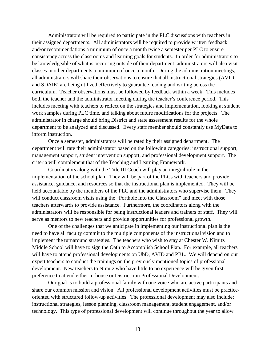Administrators will be required to participate in the PLC discussions with teachers in their assigned departments. All administrators will be required to provide written feedback and/or recommendations a minimum of once a month twice a semester per PLC to ensure consistency across the classrooms and learning goals for students. In order for administrators to be knowledgeable of what is occurring outside of their department, administrators will also visit classes in other departments a minimum of once a month. During the administration meetings, all administrators will share their observations to ensure that all instructional strategies (AVID and SDAIE) are being utilized effectively to guarantee reading and writing across the curriculum. Teacher observations must be followed by feedback within a week. This includes both the teacher and the administrator meeting during the teacher's conference period. This includes meeting with teachers to reflect on the strategies and implementation, looking at student work samples during PLC time, and talking about future modifications for the projects. The administrator in charge should bring District and state assessment results for the whole department to be analyzed and discussed. Every staff member should constantly use MyData to inform instruction.

Once a semester, administrators will be rated by their assigned department. The department will rate their administrator based on the following categories: instructional support, management support, student intervention support, and professional development support. The criteria will complement that of the Teaching and Learning Framework.

Coordinators along with the Title III Coach will play an integral role in the implementation of the school plan. They will be part of the PLCs with teachers and provide assistance, guidance, and resources so that the instructional plan is implemented. They will be held accountable by the members of the PLC and the administrators who supervise them. They will conduct classroom visits using the "Porthole into the Classroom" and meet with those teachers afterwards to provide assistance. Furthermore, the coordinators along with the administrators will be responsible for being instructional leaders and trainers of staff. They will serve as mentors to new teachers and provide opportunities for professional growth.

One of the challenges that we anticipate in implementing our instructional plan is the need to have all faculty commit to the multiple components of the instructional vision and to implement the turnaround strategies. The teachers who wish to stay at Chester W. Nimitz Middle School will have to sign the Oath to Accomplish School Plan. For example, all teachers will have to attend professional developments on UbD, AVID and PBL. We will depend on our expert teachers to conduct the trainings on the previously mentioned topics of professional development. New teachers to Nimitz who have little to no experience will be given first preference to attend either in-house or District-run Professional Development.

Our goal is to build a professional family with one voice who are active participants and share our common mission and vision. All professional development activities must be practiceoriented with structured follow-up activities. The professional development may also include; instructional strategies, lesson planning, classroom management, student engagement, and/or technology. This type of professional development will continue throughout the year to allow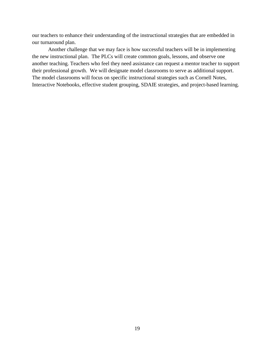our teachers to enhance their understanding of the instructional strategies that are embedded in our turnaround plan.

Another challenge that we may face is how successful teachers will be in implementing the new instructional plan. The PLCs will create common goals, lessons, and observe one another teaching. Teachers who feel they need assistance can request a mentor teacher to support their professional growth. We will designate model classrooms to serve as additional support. The model classrooms will focus on specific instructional strategies such as Cornell Notes, Interactive Notebooks, effective student grouping, SDAIE strategies, and project-based learning.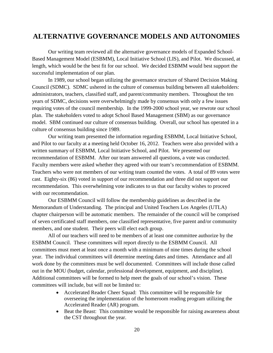# **ALTERNATIVE GOVERNANCE MODELS AND AUTONOMIES**

Our writing team reviewed all the alternative governance models of Expanded School-Based Management Model (ESBMM), Local Initiative School (LIS), and Pilot. We discussed, at length, which would be the best fit for our school. We decided ESBMM would best support the successful implementation of our plan.

In 1989, our school began utilizing the governance structure of Shared Decision Making Council (SDMC). SDMC ushered in the culture of consensus building between all stakeholders: administrators, teachers, classified staff, and parent/community members. Throughout the ten years of SDMC, decisions were overwhelmingly made by consensus with only a few issues requiring votes of the council membership. In the 1999-2000 school year, we rewrote our school plan. The stakeholders voted to adopt School Based Management (SBM) as our governance model. SBM continued our culture of consensus building. Overall, our school has operated in a culture of consensus building since 1989.

Our writing team presented the information regarding ESBMM, Local Initiative School, and Pilot to our faculty at a meeting held October 16, 2012. Teachers were also provided with a written summary of ESBMM, Local Initiative School, and Pilot. We presented our recommendation of ESBMM. After our team answered all questions, a vote was conducted. Faculty members were asked whether they agreed with our team's recommendation of ESBMM. Teachers who were not members of our writing team counted the votes. A total of 89 votes were cast. Eighty-six (86) voted in support of our recommendation and three did not support our recommendation. This overwhelming vote indicates to us that our faculty wishes to proceed with our recommendation.

Our ESBMM Council will follow the membership guidelines as described in the Memorandum of Understanding. The principal and United Teachers Los Angeles (UTLA) chapter chairperson will be automatic members. The remainder of the council will be comprised of seven certificated staff members, one classified representative, five parent and/or community members, and one student. Their peers will elect each group.

All of our teachers will need to be members of at least one committee authorize by the ESBMM Council. These committees will report directly to the ESBMM Council. All committees must meet at least once a month with a minimum of nine times during the school year. The individual committees will determine meeting dates and times. Attendance and all work done by the committees must be well documented. Committees will include those called out in the MOU (budget, calendar, professional development, equipment, and discipline). Additional committees will be formed to help meet the goals of our school's vision. These committees will include, but will not be limited to:

- Accelerated Reader Cheer Squad: This committee will be responsible for overseeing the implementation of the homeroom reading program utilizing the Accelerated Reader (AR) program.
- Beat the Beast: This committee would be responsible for raising awareness about the CST throughout the year.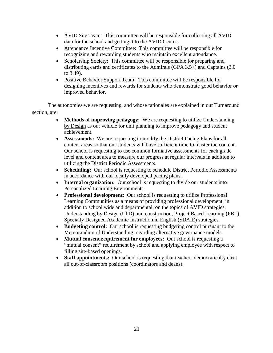- AVID Site Team: This committee will be responsible for collecting all AVID data for the school and getting it to the AVID Center.
- Attendance Incentive Committee: This committee will be responsible for recognizing and rewarding students who maintain excellent attendance.
- Scholarship Society: This committee will be responsible for preparing and distributing cards and certificates to the Admirals (GPA 3.5+) and Captains (3.0 to 3.49).
- Positive Behavior Support Team: This committee will be responsible for designing incentives and rewards for students who demonstrate good behavior or improved behavior.

The autonomies we are requesting, and whose rationales are explained in our Turnaround section, are:

- **Methods of improving pedagogy:** We are requesting to utilize Understanding by Design as our vehicle for unit planning to improve pedagogy and student achievement.
- **Assessments:** We are requesting to modify the District Pacing Plans for all content areas so that our students will have sufficient time to master the content. Our school is requesting to use common formative assessments for each grade level and content area to measure our progress at regular intervals in addition to utilizing the District Periodic Assessments.
- **Scheduling:** Our school is requesting to schedule District Periodic Assessments in accordance with our locally developed pacing plans.
- **Internal organization:** Our school is requesting to divide our students into Personalized Learning Environments.
- **Professional development:** Our school is requesting to utilize Professional Learning Communities as a means of providing professional development, in addition to school wide and departmental, on the topics of AVID strategies, Understanding by Design (UbD) unit construction, Project Based Learning (PBL), Specially Designed Academic Instruction in English (SDAIE) strategies.
- **Budgeting control:** Our school is requesting budgeting control pursuant to the Memorandum of Understanding regarding alternative governance models.
- **Mutual consent requirement for employees:** Our school is requesting a "mutual consent" requirement by school and applying employee with respect to filling site-based openings.
- **Staff appointments:** Our school is requesting that teachers democratically elect all out-of-classroom positions (coordinators and deans).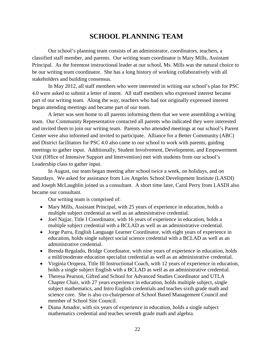# **SCHOOL PLANNING TEAM**

Our school's planning team consists of an administrator, coordinators, teachers, a classified staff member, and parents. Our writing team coordinator is Mary Mills, Assistant Principal. As the foremost instructional leader at our school, Ms. Mills was the natural choice to be our writing team coordinator. She has a long history of working collaboratively with all stakeholders and building consensus.

In May 2012, all staff members who were interested in writing our school's plan for PSC 4.0 were asked to submit a letter of intent. All staff members who expressed interest became part of our writing team. Along the way, teachers who had not originally expressed interest began attending meetings and became part of our team.

A letter was sent home to all parents informing them that we were assembling a writing team. Our Community Representative contacted all parents who indicated they were interested and invited them to join our writing team. Parents who attended meetings at our school's Parent Center were also informed and invited to participate. Alliance for a Better Community (ABC) and District facilitators for PSC 4.0 also came to our school to work with parents, guiding meetings to gather input. Additionally, Student Involvement, Development, and Empowerment Unit (Office of Intensive Support and Intervention) met with students from our school's Leadership class to gather input.

In August, our team began meeting after school twice a week, on holidays, and on Saturdays. We asked for assistance from Los Angeles School Development Institute (LASDI) and Joseph McLaughlin joined us a consultant. A short time later, Carol Perry from LASDI also became our consultant.

Our writing team is comprised of:

- Mary Mills, Assistant Principal, with 25 years of experience in education, holds a multiple subject credential as well as an administrative credential.
- Joel Najjar, Title I Coordinator, with 16 years of experience in education, holds a multiple subject credential with a BCLAD as well as an administrative credential.
- Jorge Parra, English Language Learner Coordinator, with eight years of experience in education, holds single subject social science credential with a BCLAD as well as an administrative credential.
- Brenda Regalado, Bridge Coordinator, with nine years of experience in education, holds a mild/moderate education specialist credential as well as an administrative credential.
- Virginia Oropeza, Title III Instructional Coach, with 12 years of experience in education, holds a single subject English with a BCLAD as well as an administrative credential.
- Theresa Pearson, Gifted and School for Advanced Studies Coordinator and UTLA Chapter Chair, with 27 years experience in education, holds multiple subject, single subject mathematics, and Intro English credentials and teaches sixth grade math and science core. She is also co-chairperson of School Based Management Council and member of School Site Council.
- Diana Amador, with six years of experience in education, holds a single subject mathematics credential and teaches seventh grade math and algebra.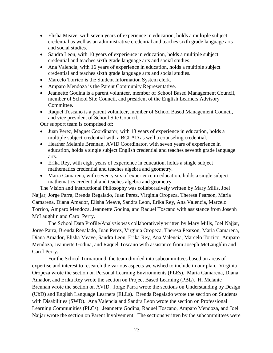- Elisha Meave, with seven years of experience in education, holds a multiple subject credential as well as an administrative credential and teaches sixth grade language arts and social studies.
- Sandra Leon, with 10 years of experience in education, holds a multiple subject credential and teaches sixth grade language arts and social studies.
- Ana Valencia, with 16 years of experience in education, holds a multiple subject credential and teaches sixth grade language arts and social studies.
- Marcelo Torrico is the Student Information System clerk.
- Amparo Mendoza is the Parent Community Representative.
- Jeannette Godina is a parent volunteer, member of School Based Management Council, member of School Site Council, and president of the English Learners Advisory Committee.
- Raquel Toscano is a parent volunteer, member of School Based Management Council, and vice president of School Site Council.

Our support team is comprised of:

- Juan Perez, Magnet Coordinator, with 13 years of experience in education, holds a multiple subject credential with a BCLAD as well a counseling credential.
- Heather Melanie Brennan, AVID Coordinator, with seven years of experience in education, holds a single subject English credential and teaches seventh grade language arts.
- Erika Rey, with eight years of experience in education, holds a single subject mathematics credential and teaches algebra and geometry.
- Maria Camarena, with seven years of experience in education, holds a single subject mathematics credential and teaches algebra and geometry.

The Vision and Instructional Philosophy was collaboratively written by Mary Mills, Joel Najjar, Jorge Parra, Brenda Regalado, Juan Perez, Virginia Oropeza, Theresa Pearson, Maria Camarena, Diana Amador, Elisha Meave, Sandra Leon, Erika Rey, Ana Valencia, Marcelo Torrico, Amparo Mendoza, Jeannette Godina, and Raquel Toscano with assistance from Joseph McLaughlin and Carol Perry.

The School Data Profile/Analysis was collaboratively written by Mary Mills, Joel Najjar, Jorge Parra, Brenda Regalado, Juan Perez, Virginia Oropeza, Theresa Pearson, Maria Camarena, Diana Amador, Elisha Meave, Sandra Leon, Erika Rey, Ana Valencia, Marcelo Torrico, Amparo Mendoza, Jeannette Godina, and Raquel Toscano with assistance from Joseph McLaughlin and Carol Perry.

For the School Turnaround, the team divided into subcommittees based on areas of expertise and interest to research the various aspects we wished to include in our plan. Virginia Oropeza wrote the section on Personal Learning Environments (PLEs). Maria Camarena, Diana Amador, and Erika Rey wrote the section on Project Based Learning (PBL). H. Melanie Brennan wrote the section on AVID. Jorge Parra wrote the sections on Understanding by Design (UbD) and English Language Learners (ELLs). Brenda Regalado wrote the section on Students with Disabilities (SWD). Ana Valencia and Sandra Leon wrote the section on Professional Learning Communities (PLCs). Jeannette Godina, Raquel Toscano, Amparo Mendoza, and Joel Najjar wrote the section on Parent Involvement. The sections written by the subcommittees were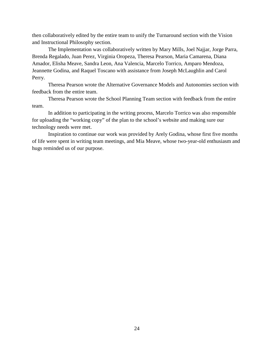then collaboratively edited by the entire team to unify the Turnaround section with the Vision and Instructional Philosophy section.

The Implementation was collaboratively written by Mary Mills, Joel Najjar, Jorge Parra, Brenda Regalado, Juan Perez, Virginia Oropeza, Theresa Pearson, Maria Camarena, Diana Amador, Elisha Meave, Sandra Leon, Ana Valencia, Marcelo Torrico, Amparo Mendoza, Jeannette Godina, and Raquel Toscano with assistance from Joseph McLaughlin and Carol Perry.

Theresa Pearson wrote the Alternative Governance Models and Autonomies section with feedback from the entire team.

Theresa Pearson wrote the School Planning Team section with feedback from the entire team.

In addition to participating in the writing process, Marcelo Torrico was also responsible for uploading the "working copy" of the plan to the school's website and making sure our technology needs were met.

Inspiration to continue our work was provided by Arely Godina, whose first five months of life were spent in writing team meetings, and Mia Meave, whose two-year-old enthusiasm and hugs reminded us of our purpose.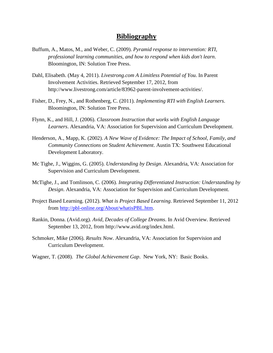# **Bibliography**

- Buffum, A., Matos, M., and Weber, C. (2009). *Pyramid response to intervention: RTI, professional learning communities, and how to respond when kids don't learn*. Bloomington, IN: Solution Tree Press.
- Dahl, Elisabeth. (May 4, 2011). *Livestrong.com A Limitless Potential of You*. In Parent Involvement Activities. Retrieved September 17, 2012, from http://www.livestrong.com/article/83962-parent-involvement-activities/.
- Fisher, D., Frey, N., and Rothenberg, C. (2011). *Implementing RTI with English Learners*. Bloomington, IN: Solution Tree Press.
- Flynn, K., and Hill, J. (2006). *Classroom Instruction that works with English Language Learners*. Alexandria, VA: Association for Supervision and Curriculum Development.
- Henderson, A., Mapp, K. (2002). *A New Wave of Evidence: The Impact of School, Family, and Community Connections on Student Achievement*. Austin TX: Southwest Educational Development Laboratory.
- Mc Tighe, J., Wiggins, G. (2005). *Understanding by Design*. Alexandria, VA: Association for Supervision and Curriculum Development.
- McTighe, J., and Tomlinson, C. (2006). *Integrating Differentiated Instruction: Understanding by Design*. Alexandria, VA: Association for Supervision and Curriculum Development.
- Project Based Learning. (2012). *What is Project Based Learning*. Retrieved September 11, 2012 from [http://pbl-online.org/About/whatisPBL.htm.](http://pbl-online.org/About/whatisPBL.htm)
- Rankin, Donna. (Avid.org). *Avid, Decades of College Dreams*. In Avid Overview. Retrieved September 13, 2012, from http://www.avid.org/index.html.
- Schmoker, Mike (2006). *Results Now*. Alexandria, VA: Association for Supervision and Curriculum Development.
- Wagner, T. (2008). *The Global Achievement Gap*. New York, NY: Basic Books.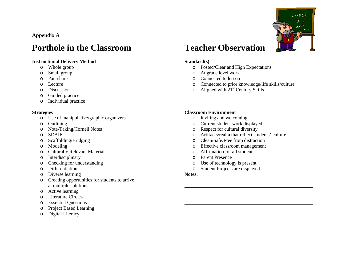**Appendix A**

# **Porthole in the Classroom**

# **Instructional Delivery Method**

- o Whole group
- o Small group
- o Pair share
- o Lecture
- o Discussion
- o Guided practice
- o Individual practice

# **Strategies**

- o Use of manipulative/graphic organizers
- o Outlining
- o Note-Taking/Cornell Notes
- o SDAIE
- o Scaffolding/Bridging
- o Modeling
- o Culturally Relevant Material
- o Interdisciplinary
- o Checking for understanding
- o Differentiation
- o Diverse learning
- o Creating opportunities for students to arrive at multiple solutions
- o Active learning
- o Literature Circles
- o Essential Questions
- o Project Based Learning
- o Digital Literacy



# **Teacher Observation**

# **Standard(s)**

- o Posted/Clear and High Expectations
- o At grade level work
- o Connected to lesson
- o Connected to prior knowledge/life skills/culture
- $\circ$  Aligned with 21<sup>st</sup> Century Skills

# **Classroom Environment**

- o Inviting and welcoming
- o Current student work displayed
- o Respect for cultural diversity
- o Artifacts/realia that reflect students' culture
- o Clean/Safe/Free from distraction
- o Effective classroom management
- o Affirmation for all students
- o Parent Presence
- o Use of technology is present
- Student Projects are displayed

# **Notes:**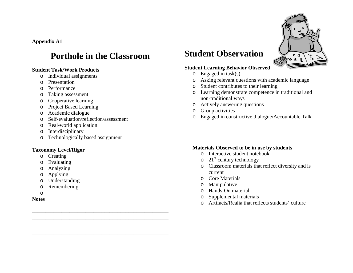**Appendix A1**

# **Porthole in the Classroom**

**\_\_\_\_\_\_\_\_\_\_\_\_\_\_\_\_\_\_\_\_\_\_\_\_\_\_\_\_\_\_\_\_\_\_\_\_\_\_\_\_\_\_\_\_\_\_\_\_\_\_\_ \_\_\_\_\_\_\_\_\_\_\_\_\_\_\_\_\_\_\_\_\_\_\_\_\_\_\_\_\_\_\_\_\_\_\_\_\_\_\_\_\_\_\_\_\_\_\_\_\_\_\_ \_\_\_\_\_\_\_\_\_\_\_\_\_\_\_\_\_\_\_\_\_\_\_\_\_\_\_\_\_\_\_\_\_\_\_\_\_\_\_\_\_\_\_\_\_\_\_\_\_\_\_ \_\_\_\_\_\_\_\_\_\_\_\_\_\_\_\_\_\_\_\_\_\_\_\_\_\_\_\_\_\_\_\_\_\_\_\_\_\_\_\_\_\_\_\_\_\_\_\_\_\_\_**

# **Student Task/Work Products**

- o Individual assignments
- o Presentation
- o Performance
- o Taking assessment
- o Cooperative learning
- o Project Based Learning
- o Academic dialogue
- o Self-evaluation/reflection/assessment
- o Real-world application
- o Interdisciplinary
- o Technologically based assignment

# **Taxonomy Level/Rigor**

- o Creating
- o Evaluating
- o Analyzing
- o Applying
- o Understanding
- o Remembering
- o

**Notes**

# **Student Observation**

# **Student Learning Behavior Observed**

- $\circ$  Engaged in task(s)
- o Asking relevant questions with academic language
- o Student contributes to their learning
- o Learning demonstrate competence in traditional and non-traditional ways
- o Actively answering questions
- o Group activities
- o Engaged in constructive dialogue/Accountable Talk

# **Materials Observed to be in use by students**

- o Interactive student notebook
- $\circ$  21<sup>st</sup> century technology
- o Classroom materials that reflect diversity and is current
- o Core Materials
- o Manipulative
- o Hands-On material
- o Supplemental materials
- o Artifacts/Realia that reflects students' culture

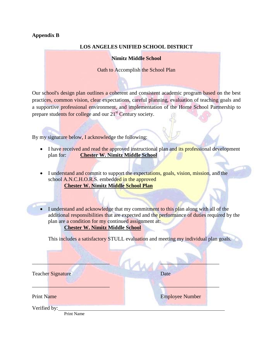# **Appendix B**

# **LOS ANGELES UNIFIED SCHOOL DISTRICT**

# **Nimitz Middle School**

Oath to Accomplish the School Plan

Our school's design plan outlines a coherent and consistent academic program based on the best practices, common vision, clear expectations, careful planning, evaluation of teaching goals and a supportive professional environment, and implementation of the Home School Partnership to prepare students for college and our 21<sup>st</sup> Century society.

By my signature below, I acknowledge the following:

- I have received and read the approved instructional plan and its professional development plan for: **Chester W. Nimitz Middle School**
- I understand and commit to support the expectations, goals, vision, mission, and the school A.N.C.H.O.R.S. embedded in the approved **Chester W. Nimitz Middle School Plan**
- I understand and acknowledge that my commitment to this plan along with all of the additional responsibilities that are expected and the performance of duties required by the plan are a condition for my continued assignment at:

# **Chester W. Nimitz Middle School**

This includes a satisfactory STULL evaluation and meeting my individual plan goals.

| <b>Teacher Signature</b>                 | Date                   |
|------------------------------------------|------------------------|
|                                          |                        |
| <b>Print Name</b>                        | <b>Employee Number</b> |
| Verified by:<br>$\sim \cdot \cdot \cdot$ |                        |

Print Name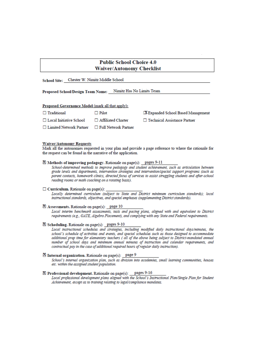# **Public School Choice 4.0 Waiver/Autonomy Checklist**

School Site: Chester W. Nimitz Middle School

Proposed School/Design Team Name: Nimitz Has No Limits Team

#### Proposed Governance Model (mark all that apply):

| $\Box$ Traditional        | $\Box$ Pilot           |  |
|---------------------------|------------------------|--|
| □ Local Initiative School | □ Affiliated Charter   |  |
| □ Limited Network Partner | □ Full Network Partner |  |

X Expanded School Based Management

Technical Assistance Partner

#### **Waiver/Autonomy Requests**

Mark all the autonomies requested in your plan and provide a page reference to where the rationale for the request can be found in the narrative of the application.

# Methods of improving pedagogy. Rationale on page(s): pages 9-11

School-determined methods to improve pedagogy and student achievement, such as articulation between grade levels and departments, intervention strategies and intervention/special support programs (such as parent contacts, homework clinics, directed focus of services to assist struggling students and after-school reading rooms or math coaching on a rotating basis).

#### $\Box$  Curriculum. Rationale on page(s):

Locally determined curriculum (subject to State and District minimum curriculum standards); local instructional standards, objectives, and special emphases (supplementing District standards).

#### Assessments. Rationale on page(s): page 10

Local interim benchmark assessments, tests and pacing plans, aligned with and equivalent to District requirements (e.g., GATE, Algebra Placement), and complying with any State and Federal requirements.

#### $\boxtimes$  Scheduling. Rationale on page(s): pages 9-10

Local instructional schedules and strategies, including modified daily instructional days/mimutes, the school's schedule of activities and events, and special schedules such as those designed to accommodate additional prep time for elementary teachers (all of the above being subject to District-mandated annual number of school days and minimum annual minutes of instruction and calendar requirements, and contractual pay in the case of additional required hours of regular daily instruction).

#### $\mathbb{\tilde{D}}$  Internal organization. Rationale on page(s): page 9

School's internal organization plan, such as division into academies, small learning communities, houses etc. within the assigned student population.

#### ⊠ Professional development. Rationale on page(s): \_pages 9-16

Local professional development plans aligned with the School's Instructional Plan/Single Plan for Student Achievement, except as to training relating to legal/compliance mandates.